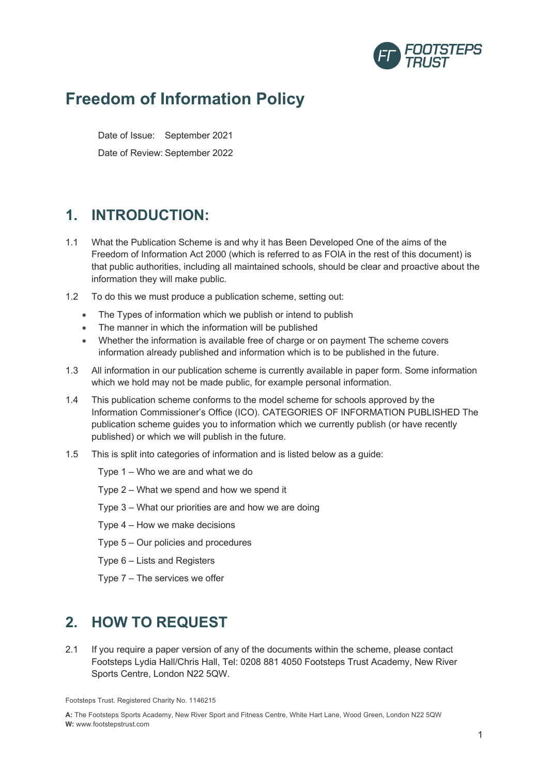

# **Freedom of Information Policy**

Date of Issue: September 2021 Date of Review: September 2022

### **1. INTRODUCTION:**

- 1.1 What the Publication Scheme is and why it has Been Developed One of the aims of the Freedom of Information Act 2000 (which is referred to as FOIA in the rest of this document) is that public authorities, including all maintained schools, should be clear and proactive about the information they will make public.
- 1.2 To do this we must produce a publication scheme, setting out:
	- The Types of information which we publish or intend to publish
	- The manner in which the information will be published
	- Whether the information is available free of charge or on payment The scheme covers information already published and information which is to be published in the future.
- 1.3 All information in our publication scheme is currently available in paper form. Some information which we hold may not be made public, for example personal information.
- 1.4 This publication scheme conforms to the model scheme for schools approved by the Information Commissioner's Office (ICO). CATEGORIES OF INFORMATION PUBLISHED The publication scheme guides you to information which we currently publish (or have recently published) or which we will publish in the future.
- 1.5 This is split into categories of information and is listed below as a guide:
	- Type 1 Who we are and what we do
	- Type 2 What we spend and how we spend it
	- Type 3 What our priorities are and how we are doing
	- Type 4 How we make decisions
	- Type 5 Our policies and procedures
	- Type 6 Lists and Registers
	- Type 7 The services we offer

### **2. HOW TO REQUEST**

2.1 If you require a paper version of any of the documents within the scheme, please contact Footsteps Lydia Hall/Chris Hall, Tel: 0208 881 4050 Footsteps Trust Academy, New River Sports Centre, London N22 5QW.

Footsteps Trust. Registered Charity No. 1146215

**A:** The Footsteps Sports Academy, New River Sport and Fitness Centre, White Hart Lane, Wood Green, London N22 5QW **W:** www.footstepstrust.com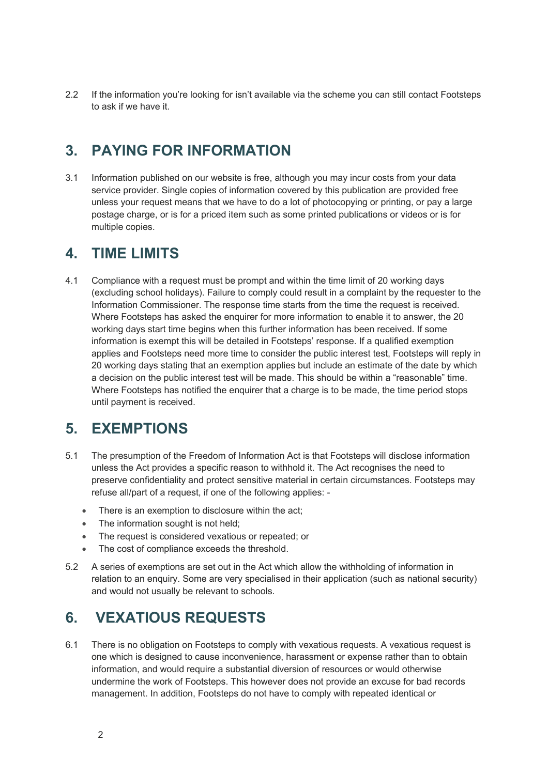2.2 If the information you're looking for isn't available via the scheme you can still contact Footsteps to ask if we have it.

#### **3. PAYING FOR INFORMATION**

3.1 Information published on our website is free, although you may incur costs from your data service provider. Single copies of information covered by this publication are provided free unless your request means that we have to do a lot of photocopying or printing, or pay a large postage charge, or is for a priced item such as some printed publications or videos or is for multiple copies.

#### **4. TIME LIMITS**

4.1 Compliance with a request must be prompt and within the time limit of 20 working days (excluding school holidays). Failure to comply could result in a complaint by the requester to the Information Commissioner. The response time starts from the time the request is received. Where Footsteps has asked the enquirer for more information to enable it to answer, the 20 working days start time begins when this further information has been received. If some information is exempt this will be detailed in Footsteps' response. If a qualified exemption applies and Footsteps need more time to consider the public interest test, Footsteps will reply in 20 working days stating that an exemption applies but include an estimate of the date by which a decision on the public interest test will be made. This should be within a "reasonable" time. Where Footsteps has notified the enquirer that a charge is to be made, the time period stops until payment is received.

#### **5. EXEMPTIONS**

- 5.1 The presumption of the Freedom of Information Act is that Footsteps will disclose information unless the Act provides a specific reason to withhold it. The Act recognises the need to preserve confidentiality and protect sensitive material in certain circumstances. Footsteps may refuse all/part of a request, if one of the following applies: -
	- There is an exemption to disclosure within the act;
	- The information sought is not held;
	- The request is considered vexatious or repeated; or
	- The cost of compliance exceeds the threshold.
- 5.2 A series of exemptions are set out in the Act which allow the withholding of information in relation to an enquiry. Some are very specialised in their application (such as national security) and would not usually be relevant to schools.

## **6. VEXATIOUS REQUESTS**

6.1 There is no obligation on Footsteps to comply with vexatious requests. A vexatious request is one which is designed to cause inconvenience, harassment or expense rather than to obtain information, and would require a substantial diversion of resources or would otherwise undermine the work of Footsteps. This however does not provide an excuse for bad records management. In addition, Footsteps do not have to comply with repeated identical or